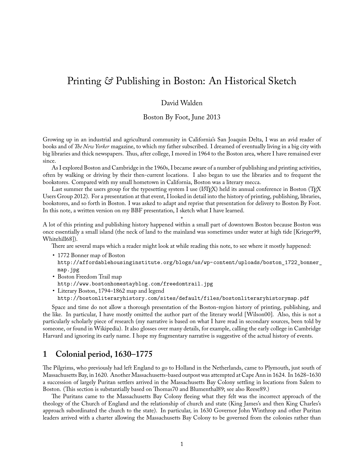# Printing *&* Publishing in Boston: An Historical Sketch

### David Walden

Boston By Foot, June 2013

Growing up in an industrial and agricultural community in California's San Joaquin Delta, I was an avid reader of books and of *The New Yorker* magazine, to which my father subscribed. I dreamed of eventually living in a big city with big libraries and thick newspapers. Thus, after college, I moved in 1964 to the Boston area, where I have remained ever since.

As I explored Boston and Cambridge in the 1960s, I became aware of a number of publishing and printing activities, often by walking or driving by their then-current locations. I also began to use the libraries and to frequent the bookstores. Compared with my small hometown in California, Boston was a literary mecca.

Last summer the users group for the typesetting system I use (L<sup>AT</sup>EX) held its annual conference in Boston (TEX Users Group 2012). For a presentation at that event, I looked in detail into the history of printing, publishing, libraries, bookstores, and so forth in Boston. I was asked to adapt and reprise that presentation for delivery to Boston By Foot. In this note, a written version on my BBF presentation, I sketch what I have learned.

\* A lot of this printing and publishing history happened within a small part of downtown Boston because Boston was once essentially a small island (the neck of land to the mainland was sometimes under water at high tide [Krieger99, Whitehill68]).

There are several maps which a reader might look at while reading this note, to see where it mostly happened:

- 1772 Bonner map of Boston http://affordablehousinginstitute.org/blogs/us/wp-content/uploads/boston\_1722\_bonner\_ map.jpg
- Boston Freedom Trail map
- http://www.bostonhomestayblog.com/freedomtrail.jpg
- Literary Boston, 1794–1862 map and legend

http://bostonliteraryhistory.com/sites/default/files/bostonliteraryhistorymap.pdf

Space and time do not allow a thorough presentation of the Boston-region history of printing, publishing, and the like. In particular, I have mostly omitted the author part of the literary world [Wilson00]. Also, this is not a particularly scholarly piece of research (my narrative is based on what I have read in secondary sources, been told by someone, or found in Wikipedia). It also glosses over many details, for example, calling the early college in Cambridge Harvard and ignoring its early name. I hope my fragmentary narrative is suggestive of the actual history of events.

### **1 Colonial period, 1630–1775**

The Pilgrims, who previously had left England to go to Holland in the Netherlands, came to Plymouth, just south of Massachusetts Bay, in 1620. Another Massachusetts-based outpost was attempted at Cape Ann in 1624. In 1628–1630 a succession of largely Puritan settlers arrived in the Massachusetts Bay Colony settling in locations from Salem to Boston. (This section is substantially based on Thomas70 and Blumenthal89; see also Reese89.)

The Puritans came to the Massachusetts Bay Colony fleeing what they felt was the incorrect approach of the theology of the Church of England and the relationship of church and state (King James's and then King Charles's approach subordinated the church to the state). In particular, in 1630 Governor John Winthrop and other Puritan leaders arrived with a charter allowing the Massachusetts Bay Colony to be governed from the colonies rather than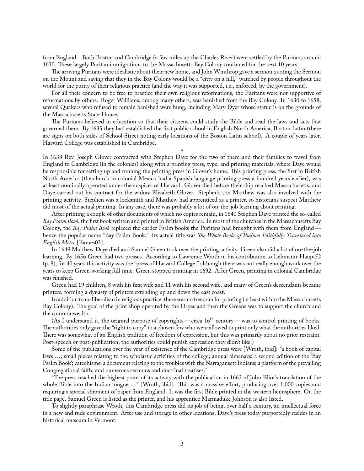from England. Both Boston and Cambridge (a few miles up the Charles River) were settled by the Puritans around 1630. These largely Puritan immigrations to the Massachusetts Bay Colony continued for the next 10 years.

The arriving Puritans were idealistic about their new home, and John Winthrop gave a sermon quoting the Sermon on the Mount and saying that they in the Bay Colony would be a "citty on a hill," watched by people throughout the world for the purity of their religious practice (and the way it was supported, i.e., enforced, by the government).

For all their concern to be free to practice their own religious reformations, the Puritans were not supportive of reformations by others. Roger Williams, among many others, was banished from the Bay Colony. In 1630 to 1658, several Quakers who refused to remain banished were hung, including Mary Dyer whose statue is on the grounds of the Massachusetts State House.

The Puritans believed in education so that their citizens could study the Bible and read the laws and acts that governed them. By 1635 they had established the first public school in English North America, Boston Latin (there are signs on both sides of School Street noting early locations of the Boston Latin school). A couple of years later, Harvard College was established in Cambridge.

\* In 1638 Rev. Joseph Glover contracted with Stephen Daye for the two of them and their families to travel from England to Cambridge (in the colonies) along with a printing press, type, and printing materials, where Daye would be responsible for setting up and running the printing press in Glover's home. This printing press, the first in British North America (the church in colonial Mexico had a Spanish language printing press a hundred years earlier), was at least nominally operated under the auspices of Harvard. Glover died before their ship reached Massachusetts, and Daye carried out his contract for the widow Elizabeth Glover. Stephen's son Matthew was also involved with the printing activity. Stephen was a locksmith and Matthew had apprenticed as a printer, so historians suspect Matthew did most of the actual printing. In any case, there was probably a lot of on-the-job learning about printing.

After printing a couple of other documents of which no copies remain, in 1640 Stephen Daye printed the so-called *Bay Psalm Book*, the first book written and printed in British America. In most of the churches in the Massachusetts Bay Colony, the *Bay Psalm Book* replaced the earlier Psalm books the Puritans had brought with them from England hence the popular name "Bay Psalm Book." Its actual title was *The Whole Booke of Psalmes Faithfully Translated into English Metre* [Eames03].

In 1649 Matthew Daye died and Samuel Green took over the printing activity. Green also did a lot of on-the-job learning. By 1656 Green had two presses. According to Lawrence Wroth in his contribution to Lehmann-Haupt52 (p. 8), for 40 years this activity was the "press of Harvard College," although there was not really enough work over the years to keep Green working full time. Green stopped printing in 1692. After Green, printing in colonial Cambridge was finished.

Green had 19 children, 8 with his first wife and 11 with his second wife, and many of Green's descendants became printers, forming a dynasty of printers extending up and down the east coast.

In addition to no liberalism in religious practice, there was no freedom for printing (at least within the Massachusetts Bay Colony). The goal of the print shop operated by the Dayes and then the Greens was to support the church and the commonwealth.

(As I understand it, the original purpose of copyrights — circa 16<sup>th</sup> century — was to control printing of books. The authorities only gave the "right to copy" to a chosen few who were allowed to print only what the authorities liked. There was somewhat of an English tradition of freedom of expression, but this was primarily about no prior restraint. Post-speech or post-publication, the authorities could punish expression they didn't like.)

Some of the publications over the year of existence of the Cambridge press were [Wroth, ibid]: "a book of capital laws …; small pieces relating to the scholastic activities of the college; annual almanacs; a second edition of the 'Bay Psalm Book'; catechisms; a document relating to the troubles with the Narragansett Indians; a platform of the prevailing Congregational faith; and numerous sermons and doctrinal treatises."

"The press reached the highest point of its activity with the publication in 1663 of John Eliot's translation of the whole Bible into the Indian tongue ..." [Wroth, ibid]. This was a massive effort, producing over 1,000 copies and requiring a special shipment of paper from England. It was the first Bible printed in the western hemisphere. On the title page, Samuel Green is listed as the printer, and his apprentice Marmaduke Johnson is also listed.

To slightly paraphrase Wroth, this Cambridge press did its job of being, over half a century, an intellectual force in a new and rude environment. After use and storage in other locations, Daye's press today purportedly resides in an historical museum in Vermont.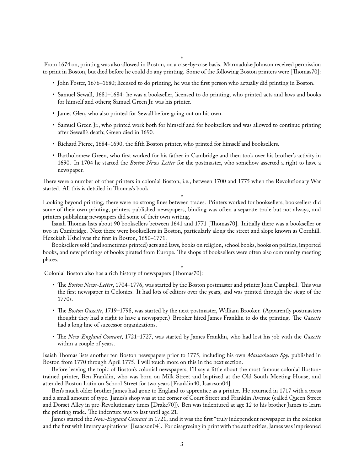\*

From 1674 on, printing was also allowed in Boston, on a case-by-case basis. Marmaduke Johnson received permission to print in Boston, but died before he could do any printing. Some of the following Boston printers were [Thomas70]:

- John Foster, 1676–1680; licensed to do printing, he was the first person who actually did printing in Boston.
- Samuel Sewall, 1681–1684: he was a bookseller, licensed to do printing, who printed acts and laws and books for himself and others; Samuel Green Jr. was his printer.
- James Glen, who also printed for Sewall before going out on his own.
- Samuel Green Jr., who printed work both for himself and for booksellers and was allowed to continue printing after Sewall's death; Green died in 1690.
- Richard Pierce, 1684–1690, the fifth Boston printer, who printed for himself and booksellers.
- Bartholomew Green, who first worked for his father in Cambridge and then took over his brother's activity in 1690. In 1704 he started the *Boston News-Letter* for the postmaster, who somehow asserted a right to have a newspaper.

There were a number of other printers in colonial Boston, i.e., between 1700 and 1775 when the Revolutionary War started. All this is detailed in Thomas's book.

\* Looking beyond printing, there were no strong lines between trades. Printers worked for booksellers, booksellers did some of their own printing, printers published newspapers, binding was often a separate trade but not always, and printers publishing newspapers did some of their own writing.

Isaiah Thomas lists about 90 booksellers between 1641 and 1771 [Thomas70]. Initially there was a bookseller or two in Cambridge. Next there were booksellers in Boston, particularly along the street and slope known as Cornhill. Hezekiah Ushel was the first in Boston, 1650–1771.

Booksellers sold (and sometimes printed) acts and laws, books on religion, school books, books on politics, imported books, and new printings of books pirated from Europe. The shops of booksellers were often also community meeting places.

\* Colonial Boston also has a rich history of newspapers [Thomas70]:

- The Boston News-Letter, 1704–1776, was started by the Boston postmaster and printer John Campbell. This was the first newspaper in Colonies. It had lots of editors over the years, and was printed through the siege of the 1770s.
- The Boston Gazette, 1719–1798, was started by the next postmaster, William Brooker. (Apparently postmasters thought they had a right to have a newspaper.) Brooker hired James Franklin to do the printing. The *Gazette* had a long line of successor organizations.
- The *New-England Courant*, 1721–1727, was started by James Franklin, who had lost his job with the *Gazette* within a couple of years.

Isaiah Thomas lists another ten Boston newspapers prior to 1775, including his own *Massachusetts Spy*, published in Boston from 1770 through April 1775. I will touch more on this in the next section.

Before leaving the topic of Boston's colonial newspapers, I'll say a little about the most famous colonial Bostontrained printer, Ben Franklin, who was born on Milk Street and baptized at the Old South Meeting House, and attended Boston Latin on School Street for two years [Franklin40, Isaacson04].

Ben's much older brother James had gone to England to apprentice as a printer. He returned in 1717 with a press and a small amount of type. James's shop was at the corner of Court Street and Franklin Avenue (called Queen Street and Dorset Alley in pre-Revolutionary times [Drake70]). Ben was indentured at age 12 to his brother James to learn the printing trade. The indenture was to last until age 21.

James started the *New-England Courant* in 1721, and it was the first "truly independent newspaper in the colonies and the first with literary aspirations" [Isaacson04]. For disagreeing in print with the authorities, James was imprisoned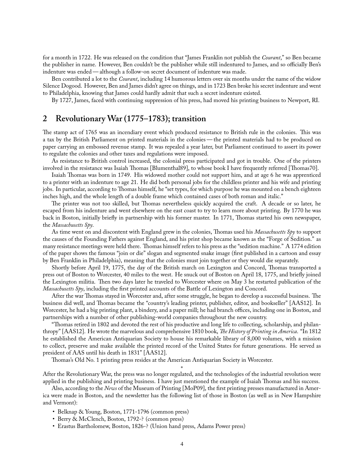for a month in 1722. He was released on the condition that "James Franklin not publish the *Courant*," so Ben became the publisher in name. However, Ben couldn't be the publisher while still indentured to James, and so officially Ben's indenture was ended— although a follow-on secret document of indenture was made.

Ben contributed a lot to the *Courant*, including 14 humorous letters over six months under the name of the widow Silence Dogood. However, Ben and James didn't agree on things, and in 1723 Ben broke his secret indenture and went to Philadelphia, knowing that James could hardly admit that such a secret indenture existed.

By 1727, James, faced with continuing suppression of his press, had moved his printing business to Newport, RI.

### **2 Revolutionary War (1775–1783); transition**

The stamp act of 1765 was an incendiary event which produced resistance to British rule in the colonies. This was a tax by the British Parliament on printed materials in the colonies— the printed materials had to be produced on paper carrying an embossed revenue stamp. It was repealed a year later, but Parliament continued to assert its power to regulate the colonies and other taxes and regulations were imposed.

As resistance to British control increased, the colonial press participated and got in trouble. One of the printers involved in the resistance was Isaiah Thomas [Blumenthal89], to whose book I have frequently referred [Thomas70].

Isaiah Thomas was born in 1749. His widowed mother could not support him, and at age 6 he was apprenticed to a printer with an indenture to age 21. He did both personal jobs for the childless printer and his wife and printing jobs. In particular, according to Thomas himself, he "set types, for which purpose he was mounted on a bench eighteen inches high, and the whole length of a double frame which contained cases of both roman and italic."

The printer was not too skilled, but Thomas nevertheless quickly acquired the craft. A decade or so later, he escaped from his indenture and went elsewhere on the east coast to try to learn more about printing. By 1770 he was back in Boston, initially briefly in partnership with his former master. In 1771, Thomas started his own newspaper, the *Massachusetts Spy*.

As time went on and discontent with England grew in the colonies, Thomas used his *Massachusetts Spy* to support the causes of the Founding Fathers against England, and his print shop became known as the "Forge of Sedition." as many resistance meetings were held there. Thomas himself refers to his press as the "sedition machine." A 1774 edition of the paper shows the famous "join or die" slogan and segmented snake image (first published in a cartoon and essay by Ben Franklin in Philadelphia), meaning that the colonies must join together or they would die separately.

Shortly before April 19, 1775, the day of the British march on Lexington and Concord, Thomas transported a press out of Boston to Worcester, 40 miles to the west. He snuck out of Boston on April 18, 1775, and brieły joined the Lexington militia. Then two days later he traveled to Worcester where on May 3 he restarted publication of the *Massachusetts Spy*, including the first printed accounts of the Battle of Lexington and Concord.

After the war Thomas stayed in Worcester and, after some struggle, he began to develop a successful business. The business did well, and Thomas became the "country's leading printer, publisher, editor, and bookseller" [AAS12]. In Worcester, he had a big printing plant, a bindery, and a paper mill; he had branch offices, including one in Boston, and partnerships with a number of other publishing-world companies throughout the new country.

"Thomas retired in 1802 and devoted the rest of his productive and long life to collecting, scholarship, and philanthropy" [AAS12]. He wrote the marvelous and comprehensive 1810 book, *The History of Printing in America*. "In 1812 he established the American Antiquarian Society to house his remarkable library of 8,000 volumes, with a mission to collect, preserve and make available the printed record of the United States for future generations. He served as president of AAS until his death in 1831" [AAS12].

Thomas's Old No. 1 printing press resides at the American Antiquarian Society in Worcester.

\* After the Revolutionary War, the press was no longer regulated, and the technologies of the industrial revolution were applied in the publishing and printing business. I have just mentioned the example of Isaiah Thomas and his success.

Also, according to the *News* of the Museum of Printing [MoP09], the first printing presses manufactured in America were made in Boston, and the newsletter has the following list of those in Boston (as well as in New Hampshire and Vermont):

- Belknap & Young, Boston, 1771-1796 (common press)
- Berry & McClench, Boston, 1792-? (common press)
- Erastus Bartholomew, Boston, 1826-? (Union hand press, Adams Power press)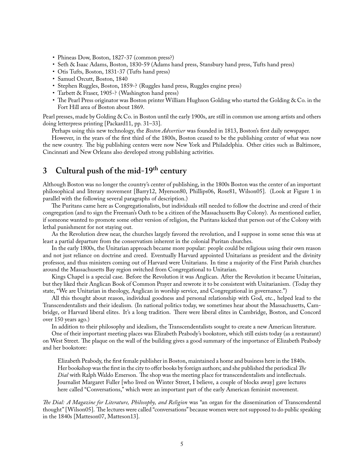- Phineas Dow, Boston, 1827-37 (common press?)
- Seth & Isaac Adams, Boston, 1830-59 (Adams hand press, Stansbury hand press, Tufts hand press)
- Otis Tufts, Boston, 1831-37 (Tufts hand press)
- Samuel Orcutt, Boston, 1840
- Stephen Ruggles, Boston, 1859-? (Ruggles hand press, Ruggles engine press)
- Tarbett & Fraser, 1905-? (Washington hand press)
- The Pearl Press originator was Boston printer William Hughson Golding who started the Golding & Co. in the Fort Hill area of Boston about 1869.

Pearl presses, made by Golding & Co. in Boston until the early 1900s, are still in common use among artists and others doing letterpress printing [Packard11, pp. 31–33].

Perhaps using this new technology, the *Boston Advertiser* was founded in 1813, Boston's first daily newspaper.

However, in the years of the first third of the 1800s, Boston ceased to be the publishing center of what was now the new country. The big publishing centers were now New York and Philadelphia. Other cities such as Baltimore, Cincinnati and New Orleans also developed strong publishing activities.

# **3 Cultural push of the mid-19th century**

Although Boston was no longer the country's center of publishing, in the 1800s Boston was the center of an important philosophical and literary movement [Barry12, Myerson80, Phillips06, Rose81, Wilson05]. (Look at Figure 1 in parallel with the following several paragraphs of description.)

The Puritans came here as Congregationalists, but individuals still needed to follow the doctrine and creed of their congregation (and to sign the Freeman's Oath to be a citizen of the Massachusetts Bay Colony). As mentioned earlier, if someone wanted to promote some other version of religion, the Puritans kicked that person out of the Colony with lethal punishment for not staying out.

As the Revolution drew near, the churches largely favored the revolution, and I suppose in some sense this was at least a partial departure from the conservatism inherent in the colonial Puritan churches.

In the early 1800s, the Unitarian approach became more popular: people could be religious using their own reason and not just reliance on doctrine and creed. Eventually Harvard appointed Unitarians as president and the divinity professor, and thus ministers coming out of Harvard were Unitarians. In time a majority of the First Parish churches around the Massachusetts Bay region switched from Congregational to Unitarian.

Kings Chapel is a special case. Before the Revolution it was Anglican. After the Revolution it became Unitarian, but they liked their Anglican Book of Common Prayer and rewrote it to be consistent with Unitarianism. (Today they state, "We are Unitarian in theology, Anglican in worship service, and Congregational in governance.")

All this thought about reason, individual goodness and personal relationship with God, etc., helped lead to the Transcendentalists and their idealism. (In national politics today, we sometimes hear about the Massachusetts, Cambridge, or Harvard liberal elites. It's a long tradition. There were liberal elites in Cambridge, Boston, and Concord over 150 years ago.)

In addition to their philosophy and idealism, the Transcendentalists sought to create a new American literature.

One of their important meeting places was Elizabeth Peabody's bookstore, which still exists today (as a restaurant) on West Street. The plaque on the wall of the building gives a good summary of the importance of Elizabeth Peabody and her bookstore:

Elizabeth Peabody, the first female publisher in Boston, maintained a home and business here in the 1840s. Her bookshop was the first in the city to offer books by foreign authors; and she published the periodical *The Dial* with Ralph Waldo Emerson. The shop was the meeting place for transcendentalists and intellectuals. Journalist Margaret Fuller [who lived on Winter Street, I believe, a couple of blocks away] gave lectures here called "Conversations," which were an important part of the early American feminist movement.

*Ļe Dial: A Magazine for Literature, Philosophy, and Religion* was "an organ for the dissemination of Transcendental thought" [Wilson05]. The lectures were called "conversations" because women were not supposed to do public speaking in the 1840s [Matteson07, Matteson13].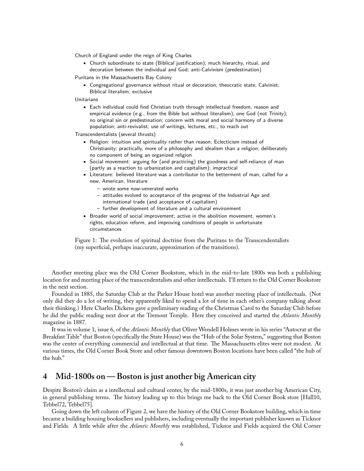Church of England under the reign of King Charles

• Church subordinate to state (Biblical justification); much hierarchy, ritual, and decoration between the individual and God; anti-Calvinism (predestination)

Puritans in the Massachusetts Bay Colony

• Congregational governance without ritual or decoration; theocratic state; Calvinist; Biblical literalism; exclusive

Unitarians

• Each individual could find Christian truth through intellectual freedom, reason and empirical evidence (e.g., from the Bible but without literalism); one God (not Trinity); no original sin or predestination; concern with moral and social harmony of a diverse population; anti-revivalist; use of writings, lectures, etc., to reach out

Transcendentalists (several thrusts)

- Religion: intuition and spirituality rather than reason; Eclecticism instead of Christianity; practically, more of a philosophy and idealism than a religion; deliberately no component of being an organized religion
- Social movement: arguing for (and practicing) the goodness and self-reliance of man (partly as a reaction to urbanization and capitalism); impractical
- Literature: believed literature was a contributor to the betterment of man; called for a new, American, literature
	- **–** wrote some now-venerated works
	- **–** attitudes evolved to acceptance of the progress of the Industrial Age and international trade (and acceptance of capitalism)
	- **–** further development of literature and a cultural environment
- Broader world of social improvement; active in the abolition movement, women's rights, education reform, and improving conditions of people in unfortunate circumstances

Figure 1: The evolution of spiritual doctrine from the Puritans to the Transcendentalists (my superficial, perhaps inaccurate, approximation of the transitions).

Another meeting place was the Old Corner Bookstore, which in the mid-to-late 1800s was both a publishing location for and meeting place of the transcendentalists and other intellectuals. I'll return to the Old Corner Bookstore in the next section.

Founded in 1885, the Saturday Club at the Parker House hotel was another meeting place of intellectuals. (Not only did they do a lot of writing, they apparently liked to spend a lot of time in each other's company talking about their thinking.) Here Charles Dickens gave a preliminary reading of the Christmas Carol to the Saturday Club before he did the public reading next door at the Tremont Temple. Here they conceived and started the *Atlantic Monthly* magazine in 1887.

It was in volume 1, issue 6, of the *Atlantic Monthly* that Oliver Wendell Holmes wrote in his series "Autocrat at the Breakfast Table" that Boston (specifically the State House) was the "Hub of the Solar System," suggesting that Boston was the center of everything commercial and intellectual at that time. The Massachusetts elites were not modest. At various times, the Old Corner Book Store and other famous downtown Boston locations have been called "the hub of the hub."

### **4 Mid-1800s on— Boston is just another big American city**

Despite Boston's claim as a intellectual and cultural center, by the mid-1800s, it was just another big American City, in general publishing terms. The history leading up to this brings me back to the Old Corner Book store [Hall10, Tebbel72, Tebbel75].

Going down the left column of Figure 2, we have the history of the Old Corner Bookstore building, which in time became a building housing booksellers and publishers, including eventually the important publisher known as Ticknor and Fields. A little while after the *Atlantic Monthly* was established, Ticknor and Fields acquired the Old Corner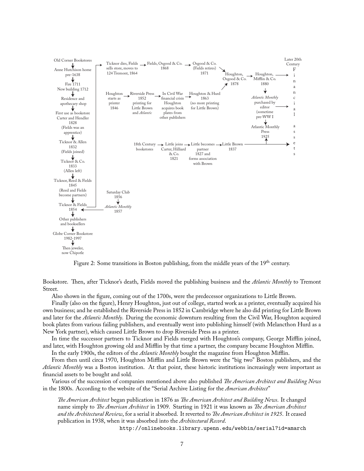

Figure 2: Some transitions in Boston publishing, from the middle years of the 19<sup>th</sup> century.

Bookstore. Then, after Ticknor's death, Fields moved the publishing business and the *Atlantic Monthly* to Tremont Street.

Also shown in the figure, coming out of the 1700s, were the predecessor organizations to Little Brown.

Finally (also on the figure), Henry Houghton, just out of college, started work as a printer, eventually acquired his own business; and he established the Riverside Press in 1852 in Cambridge where he also did printing for Little Brown and later for the *Atlantic Monthly*. During the economic downturn resulting from the Civil War, Houghton acquired book plates from various failing publishers, and eventually went into publishing himself (with Melancthon Hurd as a New York partner), which caused Little Brown to drop Riverside Press as a printer.

In time the successor partners to Ticknor and Fields merged with Houghton's company, George Mifflin joined, and later, with Houghton growing old and Mifflin by that time a partner, the company became Houghton Mifflin.

In the early 1900s, the editors of the *Atlantic Monthly* bought the magazine from Houghton Mifflin.

From then until circa 1970, Houghton Mifflin and Little Brown were the "big two" Boston publishers, and the *Atlantic Monthly* was a Boston institution. At that point, these historic institutions increasingly were important as financial assets to be bought and sold.

Various of the succession of companies mentioned above also published *The American Architect and Building News* in the 1800s. According to the website of the "Serial Archive Listing for the *American Architect*"

*The American Architect* began publication in 1876 as *The American Architect and Building News*. It changed name simply to *The American Architect* in 1909. Starting in 1921 it was known as *The American Architect and the Architectural Review*, for a serial it absorbed. It reverted to *Ļe American Architect in 1925*. It ceased publication in 1938, when it was absorbed into the *Architectural Record*.

http://onlinebooks.library.upenn.edu/webbin/serial?id=amarch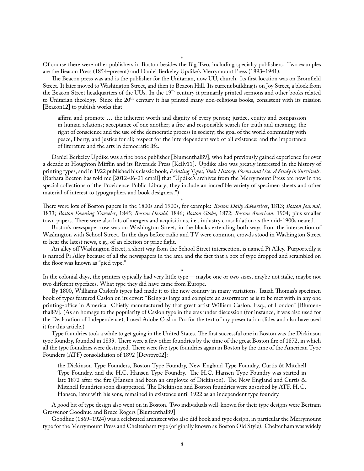Of course there were other publishers in Boston besides the Big Two, including specialty publishers. Two examples are the Beacon Press (1854–present) and Daniel Berkeley Updike's Merrymount Press (1893–1941).

The Beacon press was and is the publisher for the Unitarian, now UU, church. Its first location was on Bromfield Street. It later moved to Washington Street, and then to Beacon Hill. Its current building is on Joy Street, a block from the Beacon Street headquarters of the UUs. In the  $19<sup>th</sup>$  century it primarily printed sermons and other books related to Unitarian theology. Since the 20<sup>th</sup> century it has printed many non-religious books, consistent with its mission [Beacon12] to publish works that

affirm and promote … the inherent worth and dignity of every person; justice, equity and compassion in human relations; acceptance of one another; a free and responsible search for truth and meaning; the right of conscience and the use of the democratic process in society; the goal of the world community with peace, liberty, and justice for all; respect for the interdependent web of all existence; and the importance of literature and the arts in democratic life.

Daniel Berkeley Updike was a fine book publisher [Blumenthal89], who had previously gained experience for over a decade at Houghton Mifflin and its Riverside Press [Kelly11]. Updike also was greatly interested in the history of printing types, and in 1922 published his classic book, *Printing Types, Their History, Forms and Use: A Study in Survivals*. (Barbara Beeton has told me [2012-06-21 email] that "Updike's archives from the Merrymount Press are now in the special collections of the Providence Public Library; they include an incredible variety of specimen sheets and other material of interest to typographers and book designers.")

\* Ļere were lots of Boston papers in the 1800s and 1900s, for example: *Boston Daily Advertiser*, 1813; *Boston Journal*, 1833; *Boston Evening Traveler*, 1845; *Boston Herald*, 1846; *Boston Globe*, 1872; *Boston American*, 1904; plus smaller town papers. There were also lots of mergers and acquisitions, i.e., industry consolidation as the mid-1900s neared.

Boston's newspaper row was on Washington Street, in the blocks extending both ways from the intersection of Washington with School Street. In the days before radio and TV were common, crowds stood in Washington Street to hear the latest news, e.g., of an election or prize fight.

An alley off Washington Street, a short way from the School Street intersection, is named Pi Alley. Purportedly it is named Pi Alley because of all the newspapers in the area and the fact that a box of type dropped and scrambled on the floor was known as "pied type."

\* In the colonial days, the printers typically had very little type— maybe one or two sizes, maybe not italic, maybe not two different typefaces. What type they did have came from Europe.

By 1800, Williams Caslon's types had made it to the new country in many variations. Isaiah Thomas's specimen book of types featured Caslon on its cover: "Being as large and complete an assortment as is to be met with in any one printing-office in America. Chieły manufactured by that great artist William Caslon, Esq., of London" [Blumenthal89]. (As an homage to the popularity of Caslon type in the eras under discussion (for instance, it was also used for the Declaration of Independence), I used Adobe Caslon Pro for the text of my presentation slides and also have used it for this article.)

Type foundries took a while to get going in the United States. The first successful one in Boston was the Dickinson type foundry, founded in 1839. There were a few other foundries by the time of the great Boston fire of 1872, in which all the type foundries were destroyed. There were five type foundries again in Boston by the time of the American Type Founders (ATF) consolidation of 1892 [Devroye02]:

the Dickinson Type Founders, Boston Type Foundry, New England Type Foundry, Curtis & Mitchell Type Foundry, and the H.C. Hansen Type Foundry. The H.C. Hansen Type Foundry was started in late 1872 after the fire (Hansen had been an employee of Dickinson). The New England and Curtis & Mitchell foundries soon disappeared. The Dickinson and Boston foundries were absorbed by ATF. H.C. Hansen, later with his sons, remained in existence until 1922 as an independent type foundry.

A good bit of type design also went on in Boston. Two individuals well-known for their type designs were Bertram Grosvenor Goodhue and Bruce Rogers [Blumenthal89].

Goodhue (1869–1924) was a celebrated architect who also did book and type design, in particular the Merrymount type for the Merrymount Press and Cheltenham type (originally known as Boston Old Style). Cheltenham was widely

\*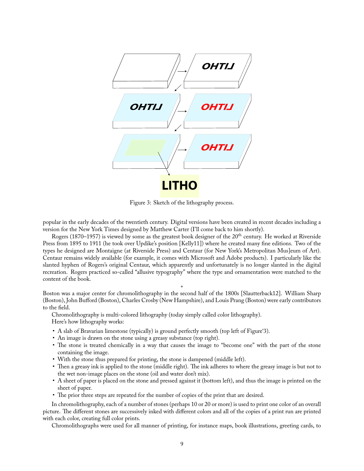

Figure 3: Sketch of the lithography process.

popular in the early decades of the twentieth century. Digital versions have been created in recent decades including a version for the New York Times designed by Matthew Carter (I'll come back to him shortly).

Rogers (1870–1957) is viewed by some as the greatest book designer of the 20<sup>th</sup> century. He worked at Riverside Press from 1895 to 1911 (he took over Updike's position [Kelly11]) where he created many fine editions. Two of the types he designed are Montaigne (at Riverside Press) and Centaur (for New York's Metropolitan Mus]eum of Art). Centaur remains widely available (for example, it comes with Microsoft and Adobe products). I particularly like the slanted hyphen of Rogers's original Centaur, which apparently and unfortunately is no longer slanted in the digital recreation. Rogers practiced so-called "allusive typography" where the type and ornamentation were matched to the content of the book.

\* Boston was a major center for chromolithography in the second half of the 1800s [Slautterback12]. William Sharp (Boston), John Bufford (Boston), Charles Crosby (New Hampshire), and Louis Prang (Boston) were early contributors to the field.

Chromolithography is multi-colored lithography (today simply called color lithography). Here's how lithography works:

- A slab of Bravarian limestone (typically) is ground perfectly smooth (top left of Figure'3).
- An image is drawn on the stone using a greasy substance (top right).
- The stone is treated chemically in a way that causes the image to "become one" with the part of the stone containing the image.
- With the stone thus prepared for printing, the stone is dampened (middle left).
- Then a greasy ink is applied to the stone (middle right). The ink adheres to where the greasy image is but not to the wet non-image places on the stone (oil and water don't mix).
- A sheet of paper is placed on the stone and pressed against it (bottom left), and thus the image is printed on the sheet of paper.
- The prior three steps are repeated for the number of copies of the print that are desired.

In chromolithography, each of a number of stones (perhaps 10 or 20 or more) is used to print one color of an overall picture. The different stones are successively inked with different colors and all of the copies of a print run are printed with each color, creating full color prints.

Chromolithographs were used for all manner of printing, for instance maps, book illustrations, greeting cards, to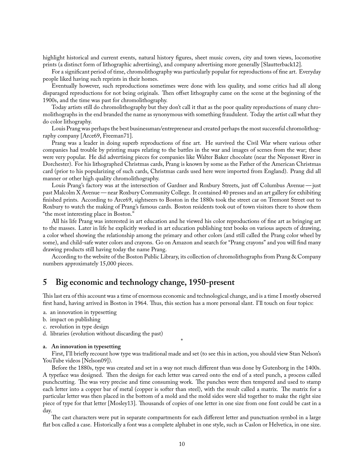highlight historical and current events, natural history figures, sheet music covers, city and town views, locomotive prints (a distinct form of lithographic advertising), and company advertising more generally [Slautterback12].

For a significant period of time, chromolithography was particularly popular for reproductions of fine art. Everyday people liked having such reprints in their homes.

Eventually however, such reproductions sometimes were done with less quality, and some critics had all along disparaged reproductions for not being originals. Then offset lithography came on the scene at the beginning of the 1900s, and the time was past for chromolithography.

Today artists still do chromolithography but they don't call it that as the poor quality reproductions of many chromolithographs in the end branded the name as synonymous with something fraudulent. Today the artist call what they do color lithography.

Louis Prang was perhaps the best businessman/entrepreneur and created perhaps the most successful chromolithography company [Arce69, Freeman71].

Prang was a leader in doing superb reproductions of fine art. He survived the Civil War where various other companies had trouble by printing maps relating to the battles in the war and images of scenes from the war; these were very popular. He did advertising pieces for companies like Walter Baker chocolate (near the Neponset River in Dorchester). For his lithographed Christmas cards, Prang is known by some as the Father of the American Christmas card (prior to his popularizing of such cards, Christmas cards used here were imported from England). Prang did all manner or other high quality chromolithography.

Louis Prang's factory was at the intersection of Gardner and Roxbury Streets, just off Columbus Avenue— just past Malcolm X Avenue— near Roxbury Community College. It contained 40 presses and an art gallery for exhibiting finished prints. According to Arce69, sightseers to Boston in the 1880s took the street car on Tremont Street out to Roxbury to watch the making of Prang's famous cards. Boston residents took out of town visitors there to show them "the most interesting place in Boston."

All his life Prang was interested in art education and he viewed his color reproductions of fine art as bringing art to the masses. Later in life he explicitly worked in art education publishing text books on various aspects of drawing, a color wheel showing the relationship among the primary and other colors (and still called the Prang color wheel by some), and child-safe water colors and crayons. Go on Amazon and search for "Prang crayons" and you will find many drawing products still having today the name Prang.

According to the website of the Boston Public Library, its collection of chromolithographs from Prang & Company numbers approximately 15,000 pieces.

## **5 Big economic and technology change, 1950-present**

This last era of this account was a time of enormous economic and technological change, and is a time I mostly observed first hand, having arrived in Boston in 1964. Thus, this section has a more personal slant. I'll touch on four topics:

- a. an innovation in typesetting
- b. impact on publishing
- c. revolution in type design
- d. libraries (evolution without discarding the past)

#### **a. An innovation in typesetting**

First, I'll brieły recount how type was traditional made and set (to see this in action, you should view Stan Nelson's YouTube videos [Nelson09]).

\*

Before the 1880s, type was created and set in a way not much different than was done by Gutenborg in the 1400s. A typeface was designed. Then the design for each letter was carved onto the end of a steel punch, a process called punchcutting. The was very precise and time consuming work. The punches were then tempered and used to stamp each letter into a copper bar of metal (copper is softer than steel), with the result called a matrix. The matrix for a particular letter was then placed in the bottom of a mold and the mold sides were slid together to make the right size piece of type for that letter [Mosley13]. Thousands of copies of one letter in one size from one font could be cast in a day.

The cast characters were put in separate compartments for each different letter and punctuation symbol in a large łat box called a case. Historically a font was a complete alphabet in one style, such as Caslon or Helvetica, in one size.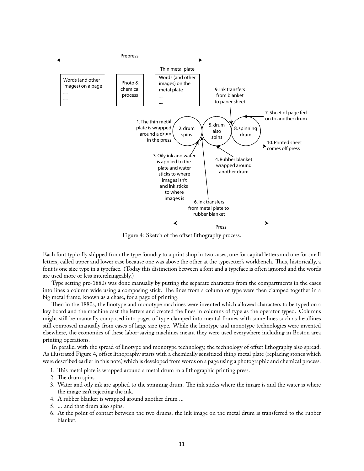

Figure 4: Sketch of the offset lithography process.

Each font typically shipped from the type foundry to a print shop in two cases, one for capital letters and one for small letters, called upper and lower case because one was above the other at the typesetter's workbench. Thus, historically, a font is one size type in a typeface. (Today this distinction between a font and a typeface is often ignored and the words are used more or less interchangeably.)

Type setting pre-1880s was done manually by putting the separate characters from the compartments in the cases into lines a column wide using a composing stick. The lines from a column of type were then clamped together in a big metal frame, known as a chase, for a page of printing.

Then in the 1880s, the linotype and monotype machines were invented which allowed characters to be typed on a key board and the machine cast the letters and created the lines in columns of type as the operator typed. Columns might still be manually composed into pages of type clamped into mental frames with some lines such as headlines still composed manually from cases of large size type. While the linotype and monotype technologies were invented elsewhere, the economics of these labor-saving machines meant they were used everywhere including in Boston area printing operations.

In parallel with the spread of linotype and monotype technology, the technology of offset lithography also spread. As illustrated Figure 4, offset lithography starts with a chemically sensitized thing metal plate (replacing stones which were described earlier in this note) which is developed from words on a page using a photographic and chemical process.

- 1. This metal plate is wrapped around a metal drum in a lithographic printing press.
- 2. The drum spins
- 3. Water and oily ink are applied to the spinning drum. The ink sticks where the image is and the water is where the image isn't rejecting the ink.
- 4. A rubber blanket is wrapped around another drum ...
- 5. ... and that drum also spins.
- 6. At the point of contact between the two drums, the ink image on the metal drum is transferred to the rubber blanket.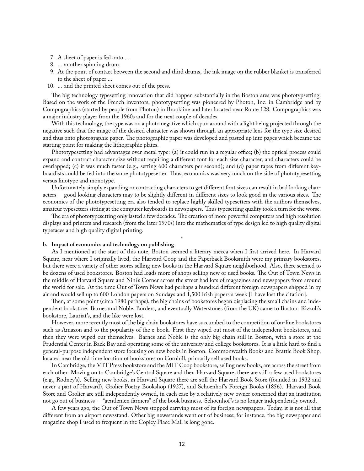- 7. A sheet of paper is fed onto ...
- 8. ... another spinning drum.
- 9. At the point of contact between the second and third drums, the ink image on the rubber blanket is transferred to the sheet of paper ...
- 10. ... and the printed sheet comes out of the press.

The big technology typesetting innovation that did happen substantially in the Boston area was phototypsetting. Based on the work of the French inventors, phototypsetting was pioneered by Photon, Inc. in Cambridge and by Compugraphics (started by people from Photon) in Brookline and later located near Route 128. Compugraphics was a major industry player from the 1960s and for the next couple of decades.

With this technology, the type was on a photo negative which spun around with a light being projected through the negative such that the image of the desired character was shown through an appropriate lens for the type size desired and thus onto photographic paper. The photographic paper was developed and pasted up into pages which became the starting point for making the lithographic plates.

Phototypesetting had advantages over metal type: (a) it could run in a regular office; (b) the optical process could expand and contract character size without requiring a different font for each size character, and characters could be overlapped; (c) it was much faster (e.g., setting 600 characters per second); and (d) paper tapes from different keyboardists could be fed into the same phototypesetter. Thus, economics was very much on the side of phototypesetting versus linotype and monotype.

Unfortunately simply expanding or contracting characters to get different font sizes can result in bad looking characters—good looking characters may to be slightly different in different sizes to look good in the various sizes. The economics of the phototypesetting era also tended to replace highly skilled typesetters with the authors themselves, amateur typesetters sitting at the computer keyboards in newspapers. Thus typesetting quality took a turn for the worse.

The era of phototypesetting only lasted a few decades. The creation of more powerful computers and high resolution displays and printers and research (from the later 1970s) into the mathematics of type design led to high quality digital typefaces and high quality digital printing.

\*

#### **b. Impact of economics and technology on publishing**

As I mentioned at the start of this note, Boston seemed a literary mecca when I first arrived here. In Harvard Square, near where I originally lived, the Harvard Coop and the Paperback Booksmith were my primary bookstores, but there were a variety of other stores selling new books in the Harvard Square neighborhood. Also, there seemed to be dozens of used bookstores. Boston had loads more of shops selling new or used books. The Out of Town News in the middle of Harvard Square and Nini's Corner across the street had lots of magazines and newspapers from around the world for sale. At the time Out of Town News had perhaps a hundred different foreign newspapers shipped in by air and would sell up to 600 London papers on Sundays and 1,500 Irish papers a week [I have lost the citation].

Then, at some point (circa 1980 perhaps), the big chains of bookstores began displacing the small chains and independent bookstore: Barnes and Noble, Borders, and eventually Waterstones (from the UK) came to Boston. Rizzoli's bookstore, Lauriat's, and the like were lost.

However, more recently most of the big chain bookstores have succumbed to the competition of on-line bookstores such as Amazon and to the popularity of the e-book. First they wiped out most of the independent bookstores, and then they were wiped out themselves. Barnes and Noble is the only big chain still in Boston, with a store at the Prudential Center in Back Bay and operating some of the university and college bookstores. It is a little hard to find a general-purpose independent store focusing on new books in Boston. Commonwealth Books and Brattle Book Shop, located near the old time location of bookstores on Cornhill, primarily sell used books.

In Cambridge, the MIT Press bookstore and the MIT Coop bookstore, selling new books, are across the street from each other. Moving on to Cambridge's Central Square and then Harvard Square, there are still a few used bookstores (e.g., Rodney's). Selling new books, in Harvard Square there are still the Harvard Book Store (founded in 1932 and never a part of Harvard), Grolier Poetry Bookshop (1927), and Schoenhof 's Foreign Books (1856). Harvard Book Store and Grolier are still independently owned, in each case by a relatively new owner concerned that an institution not go out of business— "gentlemen farmers" of the book business. Schoenhof 's is no longer independently owned.

A few years ago, the Out of Town News stopped carrying most of its foreign newspapers. Today, it is not all that different from an airport newsstand. Other big newsstands went out of business; for instance, the big newspaper and magazine shop I used to frequent in the Copley Place Mall is long gone.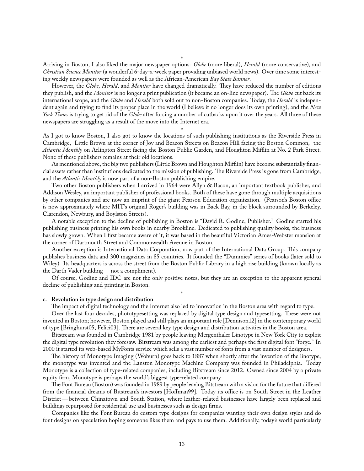Arriving in Boston, I also liked the major newspaper options: *Globe* (more liberal), *Herald* (more conservative), and *Christian Science Monitor* (a wonderful 6-day-a-week paper providing unbiased world news). Over time some interesting weekly newspapers were founded as well as the African-American *Bay State Banner*.

However, the *Globe*, *Herald*, and *Monitor* have changed dramatically. They have reduced the number of editions they publish, and the *Monitor* is no longer a print publication (it became an on-line newspaper). The *Globe* cut back its international scope, and the *Globe* and *Herald* both sold out to non-Boston companies. Today, the *Herald* is independent again and trying to find its proper place in the world (I believe it no longer does its own printing), and the *New York Times* is trying to get rid of the *Globe* after forcing a number of cutbacks upon it over the years. All three of these newspapers are struggling as a result of the move into the Internet era.

\* As I got to know Boston, I also got to know the locations of such publishing institutions as the Riverside Press in Cambridge, Little Brown at the corner of Joy and Beacon Streets on Beacon Hill facing the Boston Common, the *Atlantic Monthly* on Arlington Street facing the Boston Public Garden, and Houghton Mifflin at No. 2 Park Street. None of these publishers remains at their old locations.

As mentioned above, the big two publishers (Little Brown and Houghton Mifflin) have become substantially financial assets rather than institutions dedicated to the mission of publishing. The Riverside Press is gone from Cambridge, and the *Atlantic Monthly* is now part of a non-Boston publishing empire.

Two other Boston publishers when I arrived in 1964 were Allyn & Bacon, an important textbook publisher, and Addison Wesley, an important publisher of professional books. Both of these have gone through multiple acquisitions by other companies and are now an imprint of the giant Pearson Education organization. (Pearson's Boston office is now approximately where MIT's original Roger's building was in Back Bay, in the block surrounded by Berkeley, Clarendon, Newbury, and Boylston Streets).

A notable exception to the decline of publishing in Boston is "David R. Godine, Publisher." Godine started his publishing business printing his own books in nearby Brookline. Dedicated to publishing quality books, the business has slowly grown. When I first became aware of it, it was based in the beautiful Victorian Ames-Webster mansion at the corner of Dartmouth Street and Commonwealth Avenue in Boston.

Another exception is International Data Corporation, now part of the International Data Group. This company publishes business data and 300 magazines in 85 countries. It founded the "Dummies" series of books (later sold to Wiley). Its headquarters is across the street from the Boston Public Library in a high rise building (known locally as the Darth Vader building— not a compliment).

Of course, Godine and IDC are not the only positive notes, but they are an exception to the apparent general decline of publishing and printing in Boston.

\*

#### **c. Revolution in type design and distribution**

The impact of digital technology and the Internet also led to innovation in the Boston area with regard to type.

Over the last four decades, phototypesetting was replaced by digital type design and typesetting. These were not invented in Boston; however, Boston played and still plays an important role [Dennison12] in the contemporary world of type [Bringhurst05, Felici03]. There are several key type design and distribution activities in the Boston area.

Bitstream was founded in Cambridge 1981 by people leaving Mergenthaler Linotype in New York City to exploit the digital type revolution they foresaw. Bitstream was among the earliest and perhaps the first digital font "forge." In 2000 it started its web-based MyFonts service which sells a vast number of fonts from a vast number of designers.

The history of Monotype Imaging (Woburn) goes back to 1887 when shortly after the invention of the linotype, the monotype was invented and the Lanston Monotype Machine Company was founded in Philadelphia. Today Monotype is a collection of type-related companies, including Bitstream since 2012. Owned since 2004 by a private equity firm, Monotype is perhaps the world's biggest type-related company.

The Font Bureau (Boston) was founded in 1989 by people leaving Bitstream with a vision for the future that differed from the financial dreams of Bitstream's investors [Hoffman99]. Today its office is on South Street in the Leather District— between Chinatown and South Station, where leather-related businesses have largely been replaced and buildings repurposed for residential use and businesses such as design firms.

Companies like the Font Bureau do custom type designs for companies wanting their own design styles and do font designs on speculation hoping someone likes them and pays to use them. Additionally, today's world particularly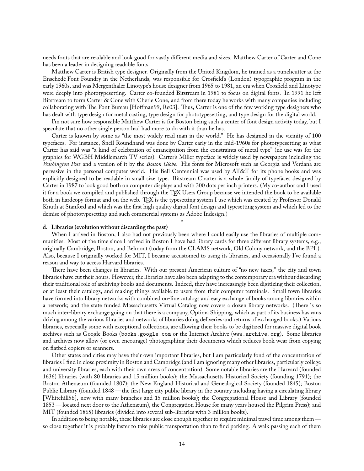needs fonts that are readable and look good for vastly different media and sizes. Matthew Carter of Carter and Cone has been a leader in designing readable fonts.

Matthew Carter is British type designer. Originally from the United Kingdom, he trained as a punchcutter at the Enschedé Font Foundry in the Netherlands, was responsible for Crosfield's (London) typographic program in the early 1960s, and was Mergenthaler Linotype's house designer from 1965 to 1981, an era when Crosfield and Linotype were deeply into phototypesetting. Carter co-founded Bitstream in 1981 to focus on digital fonts. In 1991 he left Bitstream to form Carter & Cone with Cherie Cone, and from there today he works with many companies including collaborating with The Font Bureau [Hoffman99, Re03]. Thus, Carter is one of the few working type designers who has dealt with type design for metal casting, type design for phototypesetting, and type design for the digital world.

I'm not sure how responsible Matthew Carter is for Boston being such a center of font design activity today, but I speculate that no other single person had had more to do with it than he has.

Carter is known by some as "the most widely read man in the world." He has designed in the vicinity of 100 typefaces. For instance, Snell Roundhand was done by Carter early in the mid-1960s for phototypesetting as what Carter has said was "a kind of celebration of emancipation from the constraints of metal type" (ne use was for the graphics for WGBH Middlemarch TV series). Carter's Miller typeface is widely used by newspapers including the *Washington Post* and a version of it by the *Boston Globe*. His fonts for Microsoft such as Georgia and Verdana are pervasive in the personal computer world. His Bell Centennial was used by AT&T for its phone books and was explicitly designed to be readable in small size type. Bitstream Charter is a whole family of typefaces designed by Carter in 1987 to look good both on computer displays and with 300 dots per inch printers. (My co-author and I used it for a book we compiled and published through the TFX Users Group because we intended the book to be available both in hardcopy format and on the web. TEX is the typesetting system I use which was created by Professor Donald Knuth at Stanford and which was the first high quality digital font design and typesetting system and which led to the demise of phototypesetting and such commercial systems as Adobe Indesign.)

#### **d. Libraries (evolution without discarding the past)**

When I arrived in Boston, I also had not previously been where I could easily use the libraries of multiple communities. Most of the time since I arrived in Boston I have had library cards for three different library systems, e.g., originally Cambridge, Boston, and Belmont (today from the CLAMS network, Old Colony network, and the BPL). Also, because I originally worked for MIT, I became accustomed to using its libraries, and occasionally I've found a reason and way to access Harvard libraries.

\*

There have been changes in libraries. With our present American culture of "no new taxes," the city and town libraries have cut their hours. However, the libraries have also been adapting to the contemporary era without discarding their traditional role of archiving books and documents. Indeed, they have increasingly been digitizing their collection, or at least their catalogs, and making things available to users from their computer terminals. Small town libraries have formed into library networks with combined on-line catalogs and easy exchange of books among libraries within a network; and the state funded Massachusetts Virtual Catalog now covers a dozen library networks. (There is so much inter-library exchange going on that there is a company, Optima Shipping, which as part of its business has vans driving among the various libraries and networks of libraries doing deliveries and returns of exchanged books.) Various libraries, especially some with exceptional collections, are allowing their books to be digitized for massive digital book archives such as Google Books (books.google.com or the Internet Archive (www.archive.org). Some libraries and archives now allow (or even encourage) photographing their documents which reduces book wear from copying on łatbed copiers or scanners.

Other states and cities may have their own important libraries, but I am particularly fond of the concentration of libraries I find in close proximity in Boston and Cambridge (and I am ignoring many other libraries, particularly college and university libraries, each with their own areas of concentration). Some notable libraries are the Harvard (founded 1636) libraries (with 80 libraries and 15 million books); the Massachusetts Historical Society (founding 1791); the Boston Athenæum (founded 1807); the New England Historical and Genealogical Society (founded 1845); Boston Public Library (founded 1848 — the first large city public library in the country including having a circulating library [Whitehill56], now with many branches and 15 million books); the Congregational House and Library (founded 1853— located next door to the Athenæum), the Congregation House for many years housed the Pilgrim Press); and MIT (founded 1865) libraries (divided into several sub-libraries with 3 million books).

In addition to being notable, these libraries are close enough together to require minimal travel time among them so close together it is probably faster to take public transportation than to find parking. A walk passing each of them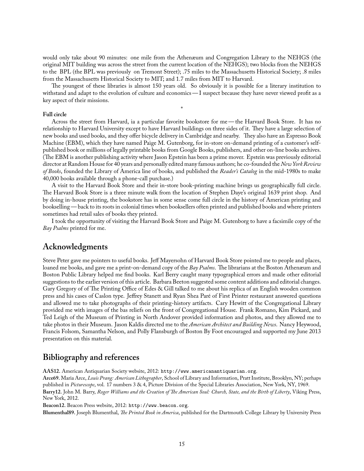would only take about 90 minutes: one mile from the Athenæum and Congregation Library to the NEHGS (the original MIT building was across the street from the current location of the NEHGS); two blocks from the NEHGS to the BPL (the BPL was previously on Tremont Street); .75 miles to the Massachusetts Historical Society; .8 miles from the Massachusetts Historical Society to MIT; and 1.7 miles from MIT to Harvard.

The youngest of these libraries is almost 150 years old. So obviously it is possible for a literary institution to withstand and adapt to the evolution of culture and economics—I suspect because they have never viewed profit as a key aspect of their missions.

\*

#### **Full circle**

Across the street from Harvard, ia a particular favorite bookstore for me — the Harvard Book Store. It has no relationship to Harvard University except to have Harvard buildings on three sides of it. They have a large selection of new books and used books, and they offer bicycle delivery in Cambridge and nearby. They also have an Espresso Book Machine (EBM), which they have named Paige M. Gutenborg, for in-store on-demand printing of a customer's selfpublished book or millions of legally printable books from Google Books, publishers, and other on-line books archives. (The EBM is another publishing activity where Jason Epstein has been a prime mover. Epstein was previously editorial director at Random House for 40 years and personally edited many famous authors; he co-founded the *New York Review of Books*, founded the Library of America line of books, and published the *Reader's Catalog* in the mid-1980s to make 40,000 books available through a phone-call purchase.)

A visit to the Harvard Book Store and their in-store book-printing machine brings us geographically full circle. The Harvard Book Store is a three minute walk from the location of Stephen Daye's original 1639 print shop. And by doing in-house printing, the bookstore has in some sense come full circle in the history of American printing and bookselling— back to its roots in colonial times when booksellers often printed and published books and where printers sometimes had retail sales of books they printed.

I took the opportunity of visiting the Harvard Book Store and Paige M. Gutenborg to have a facsimile copy of the *Bay Psalms* printed for me.

### **Acknowledgments**

Steve Peter gave me pointers to useful books. Jeff Mayersohn of Harvard Book Store pointed me to people and places, loaned me books, and gave me a print-on-demand copy of the *Bay Psalms*. The librarians at the Boston Athenæum and Boston Public Library helped me find books. Karl Berry caught many typographical errors and made other editorial suggestions to the earlier version of this article. Barbara Beeton suggested some content additions and editorial changes. Gary Gregory of of The Printing Office of Edes & Gill talked to me about his replica of an English wooden common press and his cases of Caslon type. Jeffrey Stanett and Ryan Shea Paré of First Printer restaurant answered questions and allowed me to take photographs of their printing-history artifacts. Cary Hewitt of the Congregational Library provided me with images of the bas reliefs on the front of Congregational House. Frank Romano, Kim Pickard, and Ted Leigh of the Museum of Printing in North Andover provided information and photos, and they allowed me to take photos in their Museum. Jason Kaldis directed me to the *American Architect and Building News*. Nancy Heywood, Francis Folsom, Samantha Nelson, and Polly Flansburgh of Boston By Foot encouraged and supported my June 2013 presentation on this material.

# **Bibliography and references**

**AAS12.** American Antiquarian Society website, 2012: http://www.americanantiquarian.org.

**Arce69.** Maria Arce, *Louis Prang: American Lithographer*, School of Library and Information, Pratt Institute, Brooklyn, NY; perhaps published in *Picturescope*, vol. 17 numbers 3 & 4, Picture Division of the Special Libraries Association, New York, NY, 1969. Barry12. John M. Barry, *Roger Williams and the Creation of The American Soul: Church, State, and the Birth of Liberty*, Viking Press, New York, 2012.

**Beacon12.** Beacon Press website, 2012: http://www.beacon.org.

Blumenthal89. Joseph Blumenthal, *The Printed Book in America*, published for the Dartmouth College Library by University Press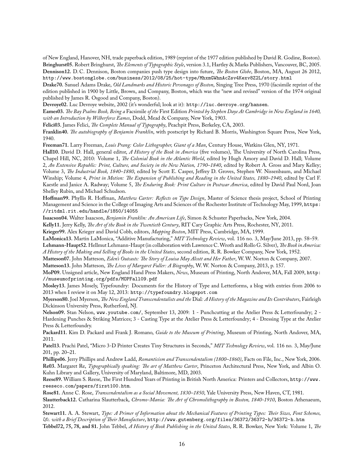of New England, Hanover, NH, trade paperback edition, 1989 (reprint of the 1977 edition published by David R. Godine, Boston). **Bringhurst05.** Robert Bringhurst, *Ļe Elements of Typographic Style*, version 3.1, Hartley & Marks Publishers, Vancouver, BC, 2005. **Dennison12.** D. C. Dennison, Boston companies push type design into future, *Ļe Boston Globe*, Boston, MA, August 26 2012, http://www.bostonglobe.com/business/2012/08/25/hot-type/MhxmGWhnAcZsv4Kexv8Z2L/story.html

**Drake70.** Sanuel Adams Drake, *Old Landmarks and Historic Personages of Boston*, Singing Tree Press, 1970 (facsimile reprint of the edition published in 1900 by Little, Brown, and Company, Boston, which was the "new and revised" version of the 1974 original published by James R. Osgood and Company, Boston).

**Devroye02.** Luc Devroye website, 2002 (it's wonderful; look at it): http://luc.devroye.org/hansen.

**Eames03.** *Ļe Bay Psalms Book, Being a* Facsimile *of the* First Edition *Printed by Stephen Daye At Cambridge in New England in 1640, with an Introduction by Wilberforce Eames*, Dodd, Mead & Company, New York, 1903.

**Felici03.** James Felici, *Ļe Complete Manual of Typography*, Peachpit Press, Berkeley, CA, 2003.

Franklin40. The autobiography of Benjamin Franklin, with postscript by Richard B. Morris, Washington Square Press, New York, 1940.

**Freeman71.** Larry Freeman, *Louis Prang: Color Lithographer, Giant of a Man*, Century House, Watkins Glen, NY, 1971.

Hall10. David D. Hall, general editor, *A History of the Book in America* (five volumes), The University of North Carolina Press, Chapel Hill, NC, 2010: Volume 1, *The Colonial Book in the Atlantic World*, edited by Hugh Amory and David D. Hall; Volume 2, *An Extensive Republic: Print, Culture, and Society in the New Nation, 1790–1840*, edited by Robert A. Gross and Mary Kelley; Volume 3, *Ļe Industrial Book, 1840–1880*, edited by Scott E. Casper, Jeffrey D. Groves, Stephen W. Nissenbaum, and Michael Winship; Volume 4, Print in Motion: The Expansion of Publishing and Reading in the United States, 1880-1940, edited by Carl F. Kaestle and Janice A. Radway; Volume 5, *The Enduring Book: Print Culture in Postwar America*, edited by David Paul Nord, Joan Shelley Rubin, and Michael Schudson.

**Hoffman99.** Phyllis R. Hoffman, *Matthew Carter: Rełects on Type Design*, Master of Science thesis project, School of Printing Management and Science in the College of Imaging Arts and Sciences of the Rochester Institute of Technology May, 1999, https: //ritdml.rit.edu/handle/1850/14055

**Isaacson04.** Walter Isaacson, *Benjamin Franklin: An American Life*, Simon & Schuster Paperbacks, New York, 2004.

Kelly11. Jerry Kelly, *The Art of the Book in the Twentieth Century*, RIT Cary Graphic Arts Press, Rochester, NY, 2011.

**Krieger99.** Alex Krieger and David Cobb, editors, *Mapping Boston*, MIT Press, Cambridge, MA, 1999.

**LaMonica13.** Martin LaMonica, "Additive Manufacturing," *MIT Technology Review*, vol. 116 no. 3, May/June 2013, pp. 58–59. Lehmann-Haupt52. Hellmut Lehmann-Haupt (in collaboration with Lawrence C. Wroth and Rollo G. Silver), *The Book in America: A History of the Making and Selling of Books in the United States*, second edition, R. R. Bowker Company, New York, 1952.

Matteson07. John Matteson, *Eden's Outcasts: The Story of Louisa May Alcott and Her Father*, W.W. Norton & Company, 2007.

**Matteson13.** John Matteson, *Ļe Lives of Margaret Fuller: A Biography*, W.W. Norton & Company, 2013, p. 157.

**MoP09.** Unsigned article, New England Hand Press Makers, *News*, Museum of Printing, North Andover, MA, Fall 2009, http: //museumofprinting.org/pdfs/MOPFall09.pdf

**Mosley13.** James Mosely, Typefoundry: Documents for the History of Type and Letterforms, a blog with entries from 2006 to 2013 when I review it on May 12, 2013: http://typefoundry.blogspot.com

**Myerson80.** Joel Myerson, *Ļe New England Transcendentalists and the* Dial*: A History of the Magazine and Its Contributors*, Fairleigh Dickinson University Press, Rutherford, NJ.

**Nelson09.** Stan Nelson, www.youtube.com/, September 13, 2009: 1 - Punchcutting at the Atelier Press & Letterfoundry; 2 - Hardening Punches & Striking Matrices; 3 - Casting Type at the Atelier Press & Letterfoundry; 4 - Dressing Type at the Atelier Press & Letterfoundry.

**Packard11.** Kim D. Packard and Frank J. Romano, *Guide to the Museum of Printing*, Museum of Printing, North Andover, MA, 2011.

**Patel13.** Prachi Patel, "Micro 3-D Printer Creates Tiny Structures in Seconds," *MIT Technology Review*, vol. 116 no. 3, May/June 201, pp. 20–21.

**Phillips06.** Jerry Phillips and Andrew Ladd, *Romanticism and Transcendentalism (1800–1860)*, Facts on File, Inc., New York, 2006. Re03. Margaret Re, *Typographically speaking: The art of Matthew Carter*, Princeton Architectural Press, New York, and Albin O. Kuhn Library and Gallery, University of Maryland, Baltimore, MD, 2003.

Reese89. William S. Reese, The First Hundred Years of Printing in British North America: Printers and Collectors, http://www. reeseco.com/papers/first100.htm.

**Rose81.** Anne C. Rose, *Transcendentalism as a Social Movement, 1830–1850*, Yale University Press, New Haven, CT, 1981. Slautterback12. Catharina Slautterback, *Chromo-Mania: The Art of Chromolithography in Boston, 1840-1910*, Boston Athenaeum,

2012.

Stewart11. A. A. Stewart, *Type: A Primer of Information about the Mechanical Features of Printing Types: Their Sizes, Font Schemes,*  $&c.$  with a Brief Description of Their Manufacture, http://www.gutenberg.org/files/36372/36372-h/36372-h.htm

**Tebbel72, 75, 78, and 81.** John Tebbel, *A History of Book Publishing in the United States*, R. R. Bowker, New York: Volume 1, *Ļe*